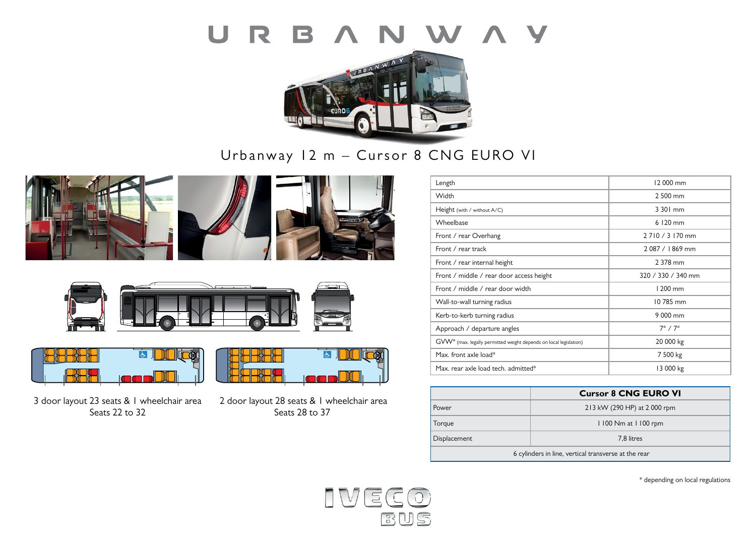### R B A N W A Y  $\begin{array}{c} \square \end{array}$



# Urbanway 12 m – Cursor 8 CNG EURO VI











3 door layout 23 seats & 1 wheelchair area Seats 22 to 32



 2 door layout 28 seats & 1 wheelchair area Seats 28 to 37

| Length                                                            | 12 000 mm           |
|-------------------------------------------------------------------|---------------------|
| Width                                                             | 2 500 mm            |
| Height (with / without A/C)                                       | 3 301 mm            |
| Wheelbase                                                         | 6 120 mm            |
| Front / rear Overhang                                             | 2 7 10 / 3 170 mm   |
| Front / rear track                                                | 2087 / 1869 mm      |
| Front / rear internal height                                      | 2 378 mm            |
| Front / middle / rear door access height                          | 320 / 330 / 340 mm  |
| Front / middle / rear door width                                  | $1200$ mm           |
| Wall-to-wall turning radius                                       | 10785 mm            |
| Kerb-to-kerb turning radius                                       | 9 000 mm            |
| Approach / departure angles                                       | $7^\circ / 7^\circ$ |
| GVW* (max. legally permitted weight depends on local legislation) | 20 000 kg           |
| Max. front axle load*                                             | 7 500 kg            |
| Max, rear axle load tech, admitted*                               | 13 000 kg           |

|                                                      | <b>Cursor 8 CNG EURO VI</b>  |  |
|------------------------------------------------------|------------------------------|--|
| Power                                                | 213 kW (290 HP) at 2 000 rpm |  |
| Torque                                               | 1100 Nm at 1100 rpm          |  |
| Displacement                                         | 7.8 litres                   |  |
| 6 cylinders in line, vertical transverse at the rear |                              |  |

\* depending on local regulations